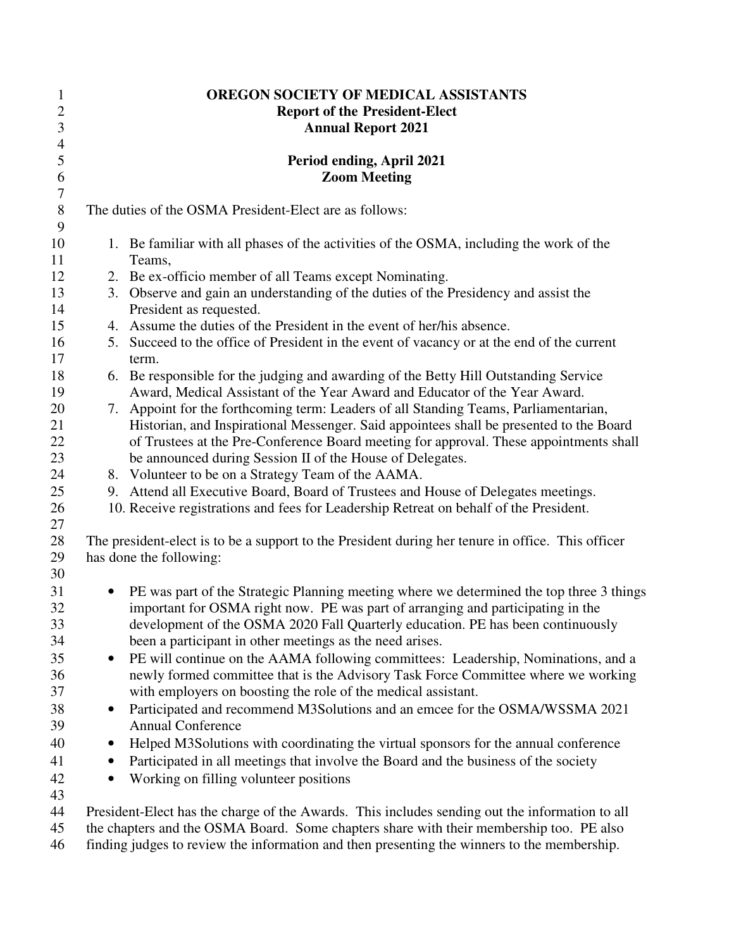| $\mathbf{1}$              | OREGON SOCIETY OF MEDICAL ASSISTANTS                                                              |
|---------------------------|---------------------------------------------------------------------------------------------------|
| $\overline{2}$            | <b>Report of the President-Elect</b>                                                              |
| $\mathfrak{Z}$            | <b>Annual Report 2021</b>                                                                         |
| $\overline{4}$            |                                                                                                   |
| $\sqrt{5}$<br>6           | Period ending, April 2021<br><b>Zoom Meeting</b>                                                  |
| $\boldsymbol{7}$<br>$8\,$ | The duties of the OSMA President-Elect are as follows:                                            |
| 9<br>10                   | 1. Be familiar with all phases of the activities of the OSMA, including the work of the           |
| 11                        | Teams,                                                                                            |
| 12                        | 2. Be ex-officio member of all Teams except Nominating.                                           |
| 13                        | 3. Observe and gain an understanding of the duties of the Presidency and assist the               |
| 14                        | President as requested.                                                                           |
| 15                        | 4. Assume the duties of the President in the event of her/his absence.                            |
| 16                        | 5. Succeed to the office of President in the event of vacancy or at the end of the current        |
| 17                        | term.                                                                                             |
| 18                        | 6. Be responsible for the judging and awarding of the Betty Hill Outstanding Service              |
| 19                        | Award, Medical Assistant of the Year Award and Educator of the Year Award.                        |
| 20                        | 7. Appoint for the forthcoming term: Leaders of all Standing Teams, Parliamentarian,              |
| 21                        | Historian, and Inspirational Messenger. Said appointees shall be presented to the Board           |
| 22                        | of Trustees at the Pre-Conference Board meeting for approval. These appointments shall            |
| 23                        | be announced during Session II of the House of Delegates.                                         |
| 24                        | 8. Volunteer to be on a Strategy Team of the AAMA.                                                |
| 25                        | 9. Attend all Executive Board, Board of Trustees and House of Delegates meetings.                 |
| 26                        | 10. Receive registrations and fees for Leadership Retreat on behalf of the President.             |
| 27                        |                                                                                                   |
| 28                        | The president-elect is to be a support to the President during her tenure in office. This officer |
| 29                        | has done the following:                                                                           |
| 30                        |                                                                                                   |
| 31                        | PE was part of the Strategic Planning meeting where we determined the top three 3 things          |
| 32                        | important for OSMA right now. PE was part of arranging and participating in the                   |
| 33                        | development of the OSMA 2020 Fall Quarterly education. PE has been continuously                   |
| 34                        | been a participant in other meetings as the need arises.                                          |
| 35                        | PE will continue on the AAMA following committees: Leadership, Nominations, and a<br>$\bullet$    |
| 36                        | newly formed committee that is the Advisory Task Force Committee where we working                 |
| 37                        | with employers on boosting the role of the medical assistant.                                     |
| 38                        | Participated and recommend M3Solutions and an emcee for the OSMA/WSSMA 2021<br>$\bullet$          |
| 39                        | <b>Annual Conference</b>                                                                          |
| 40                        | Helped M3Solutions with coordinating the virtual sponsors for the annual conference<br>$\bullet$  |
| 41                        | Participated in all meetings that involve the Board and the business of the society<br>$\bullet$  |
| 42                        | Working on filling volunteer positions                                                            |
| 43                        |                                                                                                   |
| 44                        | President-Elect has the charge of the Awards. This includes sending out the information to all    |
| 45                        | the chapters and the OSMA Board. Some chapters share with their membership too. PE also           |

46 finding judges to review the information and then presenting the winners to the membership.